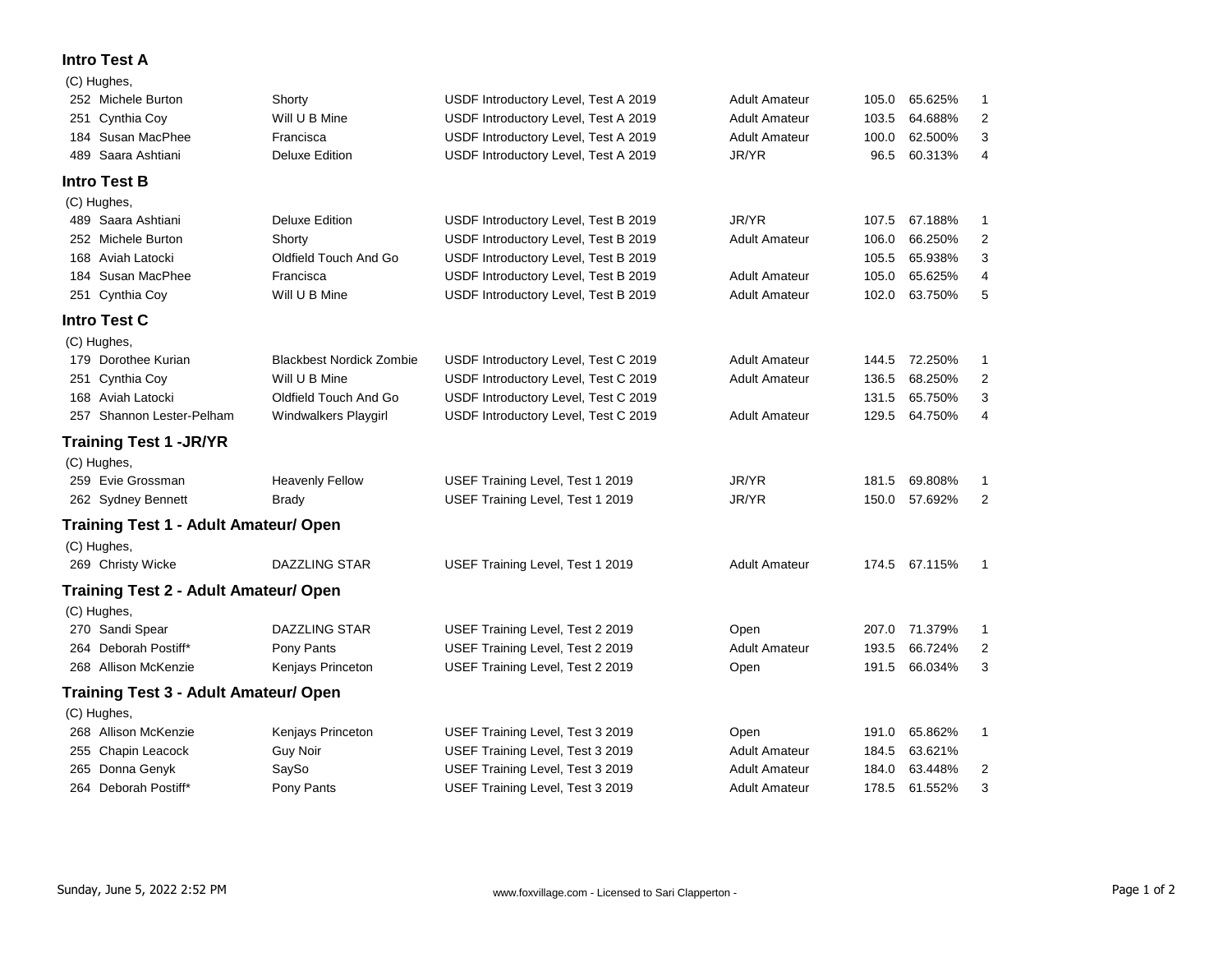## **Intro Test A**

|     | (C) Hughes,                                  |                                 |                                      |                      |       |               |                         |
|-----|----------------------------------------------|---------------------------------|--------------------------------------|----------------------|-------|---------------|-------------------------|
|     | 252 Michele Burton                           | Shorty                          | USDF Introductory Level, Test A 2019 | <b>Adult Amateur</b> | 105.0 | 65.625%       | 1                       |
|     | 251 Cynthia Coy                              | Will U B Mine                   | USDF Introductory Level, Test A 2019 | <b>Adult Amateur</b> | 103.5 | 64.688%       | 2                       |
|     | 184 Susan MacPhee                            | Francisca                       | USDF Introductory Level, Test A 2019 | <b>Adult Amateur</b> | 100.0 | 62.500%       | 3                       |
| 489 | Saara Ashtiani                               | <b>Deluxe Edition</b>           | USDF Introductory Level, Test A 2019 | JR/YR                | 96.5  | 60.313%       | 4                       |
|     | <b>Intro Test B</b>                          |                                 |                                      |                      |       |               |                         |
|     | (C) Hughes,                                  |                                 |                                      |                      |       |               |                         |
|     | 489 Saara Ashtiani                           | <b>Deluxe Edition</b>           | USDF Introductory Level, Test B 2019 | JR/YR                | 107.5 | 67.188%       | 1                       |
|     | 252 Michele Burton                           | Shorty                          | USDF Introductory Level, Test B 2019 | <b>Adult Amateur</b> | 106.0 | 66.250%       | 2                       |
|     | 168 Aviah Latocki                            | Oldfield Touch And Go           | USDF Introductory Level, Test B 2019 |                      | 105.5 | 65.938%       | 3                       |
|     | 184 Susan MacPhee                            | Francisca                       | USDF Introductory Level, Test B 2019 | <b>Adult Amateur</b> | 105.0 | 65.625%       | 4                       |
|     | 251 Cynthia Coy                              | Will U B Mine                   | USDF Introductory Level, Test B 2019 | <b>Adult Amateur</b> | 102.0 | 63.750%       | 5                       |
|     | <b>Intro Test C</b>                          |                                 |                                      |                      |       |               |                         |
|     | (C) Hughes,                                  |                                 |                                      |                      |       |               |                         |
|     | 179 Dorothee Kurian                          | <b>Blackbest Nordick Zombie</b> | USDF Introductory Level, Test C 2019 | <b>Adult Amateur</b> |       | 144.5 72.250% | 1                       |
|     | 251 Cynthia Coy                              | Will U B Mine                   | USDF Introductory Level, Test C 2019 | <b>Adult Amateur</b> | 136.5 | 68.250%       | $\overline{\mathbf{c}}$ |
|     | 168 Aviah Latocki                            | Oldfield Touch And Go           | USDF Introductory Level, Test C 2019 |                      | 131.5 | 65.750%       | 3                       |
|     | 257 Shannon Lester-Pelham                    | Windwalkers Playgirl            | USDF Introductory Level, Test C 2019 | <b>Adult Amateur</b> | 129.5 | 64.750%       | 4                       |
|     | <b>Training Test 1 - JR/YR</b>               |                                 |                                      |                      |       |               |                         |
|     | (C) Hughes,                                  |                                 |                                      |                      |       |               |                         |
|     | 259 Evie Grossman                            | <b>Heavenly Fellow</b>          | USEF Training Level, Test 1 2019     | JR/YR                | 181.5 | 69.808%       | 1                       |
|     | 262 Sydney Bennett                           | <b>Brady</b>                    | USEF Training Level, Test 1 2019     | JR/YR                | 150.0 | 57.692%       | $\overline{2}$          |
|     | <b>Training Test 1 - Adult Amateur/ Open</b> |                                 |                                      |                      |       |               |                         |
|     | (C) Hughes,                                  |                                 |                                      |                      |       |               |                         |
|     | 269 Christy Wicke                            | DAZZLING STAR                   | USEF Training Level, Test 1 2019     | <b>Adult Amateur</b> |       | 174.5 67.115% | $\mathbf{1}$            |
|     | <b>Training Test 2 - Adult Amateur/ Open</b> |                                 |                                      |                      |       |               |                         |
|     | (C) Hughes,                                  |                                 |                                      |                      |       |               |                         |
|     | 270 Sandi Spear                              | DAZZLING STAR                   | USEF Training Level, Test 2 2019     | Open                 | 207.0 | 71.379%       | 1                       |
|     | 264 Deborah Postiff*                         | Pony Pants                      | USEF Training Level, Test 2 2019     | <b>Adult Amateur</b> | 193.5 | 66.724%       | 2                       |
|     | 268 Allison McKenzie                         | Kenjays Princeton               | USEF Training Level, Test 2 2019     | Open                 | 191.5 | 66.034%       | 3                       |
|     | <b>Training Test 3 - Adult Amateur/ Open</b> |                                 |                                      |                      |       |               |                         |
|     | (C) Hughes,                                  |                                 |                                      |                      |       |               |                         |
|     | 268 Allison McKenzie                         | Kenjays Princeton               | USEF Training Level, Test 3 2019     | Open                 | 191.0 | 65.862%       | 1                       |
|     | 255 Chapin Leacock                           | Guy Noir                        | USEF Training Level, Test 3 2019     | <b>Adult Amateur</b> | 184.5 | 63.621%       |                         |
|     | 265 Donna Genyk                              | SaySo                           | USEF Training Level, Test 3 2019     | <b>Adult Amateur</b> | 184.0 | 63.448%       | 2                       |
|     | 264 Deborah Postiff*                         | Pony Pants                      | USEF Training Level, Test 3 2019     | Adult Amateur        | 178.5 | 61.552%       | 3                       |